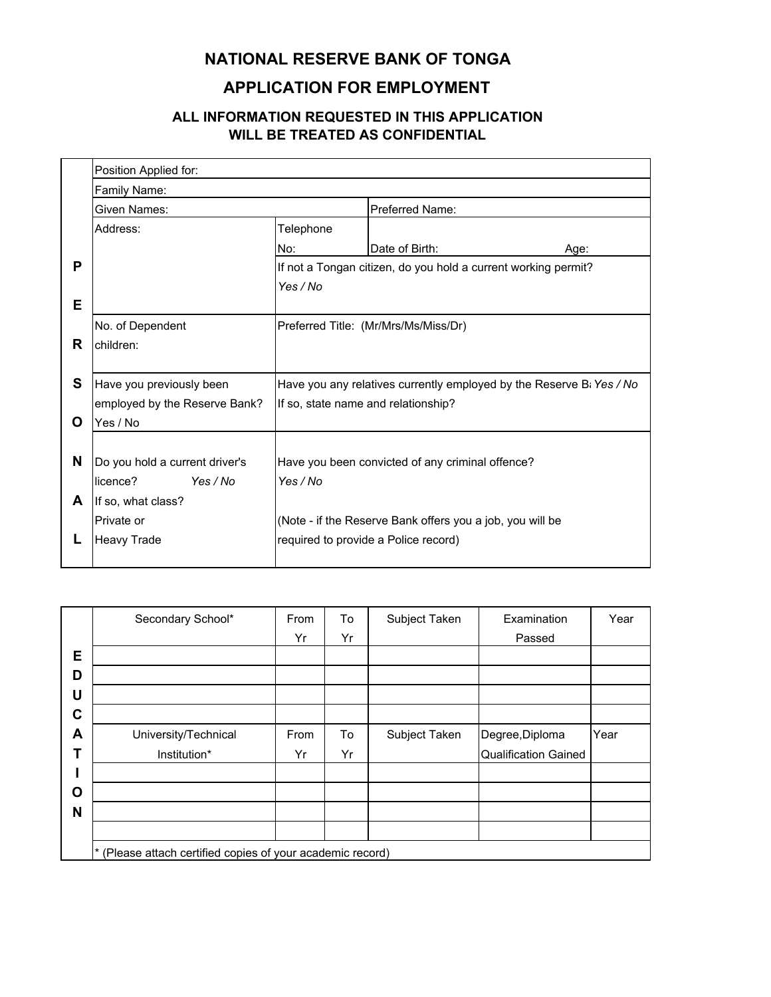## **NATIONAL RESERVE BANK OF TONGA**

## **APPLICATION FOR EMPLOYMENT**

## **ALL INFORMATION REQUESTED IN THIS APPLICATION WILL BE TREATED AS CONFIDENTIAL**

|   | Position Applied for:          |                                                  |                                                                      |      |  |
|---|--------------------------------|--------------------------------------------------|----------------------------------------------------------------------|------|--|
|   | Family Name:                   |                                                  |                                                                      |      |  |
|   | Given Names:                   |                                                  | Preferred Name:                                                      |      |  |
|   | Address:                       | Telephone                                        |                                                                      |      |  |
|   |                                | No:                                              | Date of Birth:                                                       | Age: |  |
| P |                                |                                                  | If not a Tongan citizen, do you hold a current working permit?       |      |  |
|   |                                | Yes / No                                         |                                                                      |      |  |
| Е |                                |                                                  |                                                                      |      |  |
|   | No. of Dependent               | Preferred Title: (Mr/Mrs/Ms/Miss/Dr)             |                                                                      |      |  |
| R | children:                      |                                                  |                                                                      |      |  |
|   |                                |                                                  |                                                                      |      |  |
| S | Have you previously been       |                                                  | Have you any relatives currently employed by the Reserve Bi Yes / No |      |  |
|   | employed by the Reserve Bank?  | If so, state name and relationship?              |                                                                      |      |  |
| O | Yes / No                       |                                                  |                                                                      |      |  |
|   |                                |                                                  |                                                                      |      |  |
| N | Do you hold a current driver's | Have you been convicted of any criminal offence? |                                                                      |      |  |
|   | licence?<br>Yes / No           | Yes / No                                         |                                                                      |      |  |
| A | If so, what class?             |                                                  |                                                                      |      |  |
|   | Private or                     |                                                  | (Note - if the Reserve Bank offers you a job, you will be            |      |  |
| L | <b>Heavy Trade</b>             |                                                  | required to provide a Police record)                                 |      |  |
|   |                                |                                                  |                                                                      |      |  |

|   | Secondary School*                                          | From | To | Subject Taken | Examination                 | Year |
|---|------------------------------------------------------------|------|----|---------------|-----------------------------|------|
|   |                                                            | Yr   | Yr |               | Passed                      |      |
| E |                                                            |      |    |               |                             |      |
| D |                                                            |      |    |               |                             |      |
| U |                                                            |      |    |               |                             |      |
| C |                                                            |      |    |               |                             |      |
| A | University/Technical                                       | From | To | Subject Taken | Degree, Diploma             | Year |
|   | Institution*                                               | Yr   | Yr |               | <b>Qualification Gained</b> |      |
|   |                                                            |      |    |               |                             |      |
| О |                                                            |      |    |               |                             |      |
| N |                                                            |      |    |               |                             |      |
|   |                                                            |      |    |               |                             |      |
|   | * (Please attach certified copies of your academic record) |      |    |               |                             |      |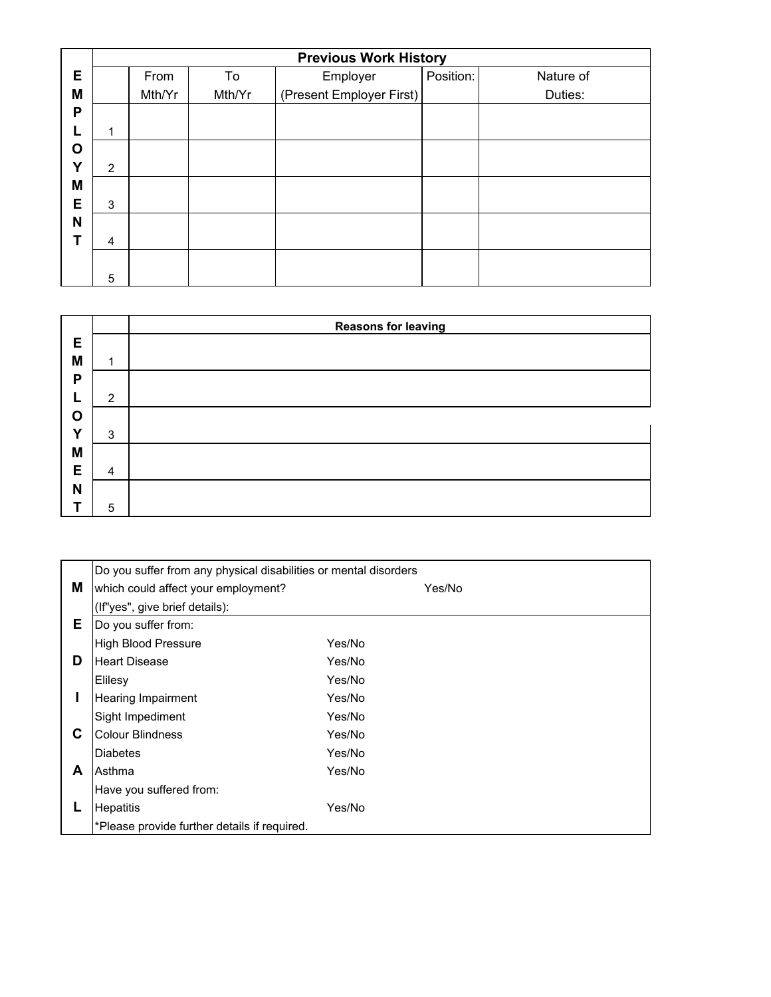|   | <b>Previous Work History</b> |                                              |  |           |           |  |  |
|---|------------------------------|----------------------------------------------|--|-----------|-----------|--|--|
| Е | From<br>To<br>Employer       |                                              |  | Position: | Nature of |  |  |
| M |                              | (Present Employer First)<br>Mth/Yr<br>Mth/Yr |  |           | Duties:   |  |  |
| P |                              |                                              |  |           |           |  |  |
|   | 1                            |                                              |  |           |           |  |  |
| O |                              |                                              |  |           |           |  |  |
| Y | 2                            |                                              |  |           |           |  |  |
| M |                              |                                              |  |           |           |  |  |
| Е | 3                            |                                              |  |           |           |  |  |
| N |                              |                                              |  |           |           |  |  |
|   | 4                            |                                              |  |           |           |  |  |
|   |                              |                                              |  |           |           |  |  |
|   | 5                            |                                              |  |           |           |  |  |

|              |                | <b>Reasons for leaving</b> |
|--------------|----------------|----------------------------|
| Е            |                |                            |
| M            | 1              |                            |
| P            |                |                            |
|              | $\overline{2}$ |                            |
| O            |                |                            |
| $\checkmark$ | 3              |                            |
| M            |                |                            |
| E            | 4              |                            |
| N            |                |                            |
|              | 5              |                            |

|    | Do you suffer from any physical disabilities or mental disorders |        |        |
|----|------------------------------------------------------------------|--------|--------|
| M  | which could affect your employment?                              |        | Yes/No |
|    | (If"yes", give brief details):                                   |        |        |
| E. | Do you suffer from:                                              |        |        |
|    | <b>High Blood Pressure</b>                                       | Yes/No |        |
| D  | <b>Heart Disease</b>                                             | Yes/No |        |
|    | Elilesy                                                          | Yes/No |        |
|    | <b>Hearing Impairment</b>                                        | Yes/No |        |
|    | Sight Impediment                                                 | Yes/No |        |
| C  | <b>Colour Blindness</b>                                          | Yes/No |        |
|    | <b>Diabetes</b>                                                  | Yes/No |        |
| A  | Asthma                                                           | Yes/No |        |
|    | Have you suffered from:                                          |        |        |
|    | <b>Hepatitis</b>                                                 | Yes/No |        |
|    | *Please provide further details if required.                     |        |        |